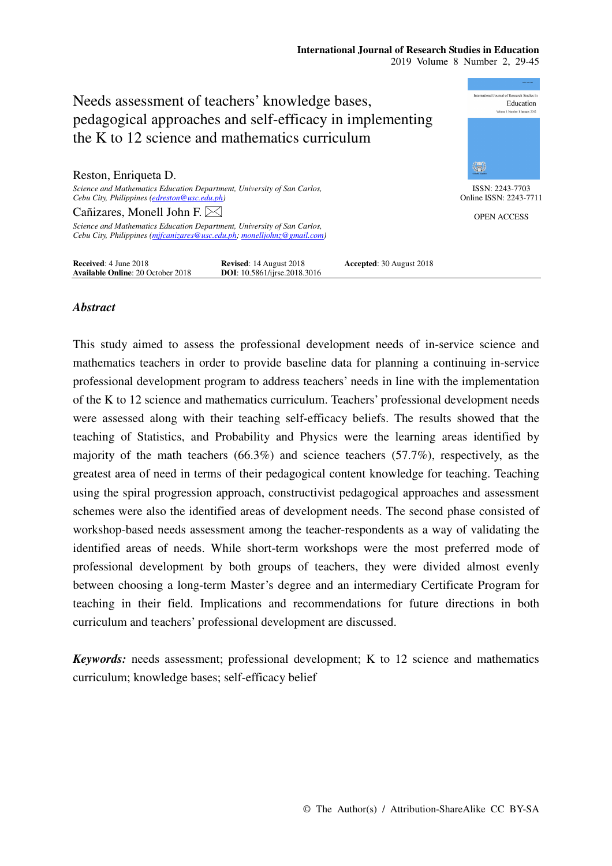#### **International Journal of Research Studies in Education**  2019 Volume 8 Number 2, 29-45



# *Abstract*

This study aimed to assess the professional development needs of in-service science and mathematics teachers in order to provide baseline data for planning a continuing in-service professional development program to address teachers' needs in line with the implementation of the K to 12 science and mathematics curriculum. Teachers' professional development needs were assessed along with their teaching self-efficacy beliefs. The results showed that the teaching of Statistics, and Probability and Physics were the learning areas identified by majority of the math teachers (66.3%) and science teachers (57.7%), respectively, as the greatest area of need in terms of their pedagogical content knowledge for teaching. Teaching using the spiral progression approach, constructivist pedagogical approaches and assessment schemes were also the identified areas of development needs. The second phase consisted of workshop-based needs assessment among the teacher-respondents as a way of validating the identified areas of needs. While short-term workshops were the most preferred mode of professional development by both groups of teachers, they were divided almost evenly between choosing a long-term Master's degree and an intermediary Certificate Program for teaching in their field. Implications and recommendations for future directions in both curriculum and teachers' professional development are discussed.

*Keywords:* needs assessment; professional development; K to 12 science and mathematics curriculum; knowledge bases; self-efficacy belief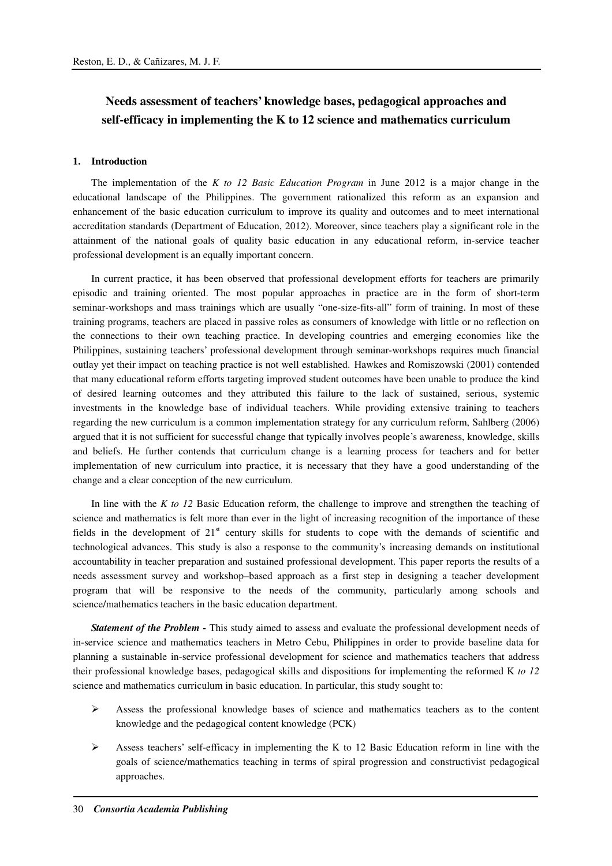# **Needs assessment of teachers' knowledge bases, pedagogical approaches and self-efficacy in implementing the K to 12 science and mathematics curriculum**

#### **1. Introduction**

The implementation of the *K to 12 Basic Education Program* in June 2012 is a major change in the educational landscape of the Philippines. The government rationalized this reform as an expansion and enhancement of the basic education curriculum to improve its quality and outcomes and to meet international accreditation standards (Department of Education, 2012). Moreover, since teachers play a significant role in the attainment of the national goals of quality basic education in any educational reform, in-service teacher professional development is an equally important concern.

In current practice, it has been observed that professional development efforts for teachers are primarily episodic and training oriented. The most popular approaches in practice are in the form of short-term seminar-workshops and mass trainings which are usually "one-size-fits-all" form of training. In most of these training programs, teachers are placed in passive roles as consumers of knowledge with little or no reflection on the connections to their own teaching practice. In developing countries and emerging economies like the Philippines, sustaining teachers' professional development through seminar-workshops requires much financial outlay yet their impact on teaching practice is not well established. Hawkes and Romiszowski (2001) contended that many educational reform efforts targeting improved student outcomes have been unable to produce the kind of desired learning outcomes and they attributed this failure to the lack of sustained, serious, systemic investments in the knowledge base of individual teachers. While providing extensive training to teachers regarding the new curriculum is a common implementation strategy for any curriculum reform, Sahlberg (2006) argued that it is not sufficient for successful change that typically involves people's awareness, knowledge, skills and beliefs. He further contends that curriculum change is a learning process for teachers and for better implementation of new curriculum into practice, it is necessary that they have a good understanding of the change and a clear conception of the new curriculum.

In line with the *K to 12* Basic Education reform, the challenge to improve and strengthen the teaching of science and mathematics is felt more than ever in the light of increasing recognition of the importance of these fields in the development of 21<sup>st</sup> century skills for students to cope with the demands of scientific and technological advances. This study is also a response to the community's increasing demands on institutional accountability in teacher preparation and sustained professional development. This paper reports the results of a needs assessment survey and workshop–based approach as a first step in designing a teacher development program that will be responsive to the needs of the community, particularly among schools and science/mathematics teachers in the basic education department.

*Statement of the Problem - This study aimed to assess and evaluate the professional development needs of* in-service science and mathematics teachers in Metro Cebu, Philippines in order to provide baseline data for planning a sustainable in-service professional development for science and mathematics teachers that address their professional knowledge bases, pedagogical skills and dispositions for implementing the reformed K *to 12* science and mathematics curriculum in basic education. In particular, this study sought to:

- $\triangleright$  Assess the professional knowledge bases of science and mathematics teachers as to the content knowledge and the pedagogical content knowledge (PCK)
- Assess teachers' self-efficacy in implementing the K to 12 Basic Education reform in line with the goals of science/mathematics teaching in terms of spiral progression and constructivist pedagogical approaches.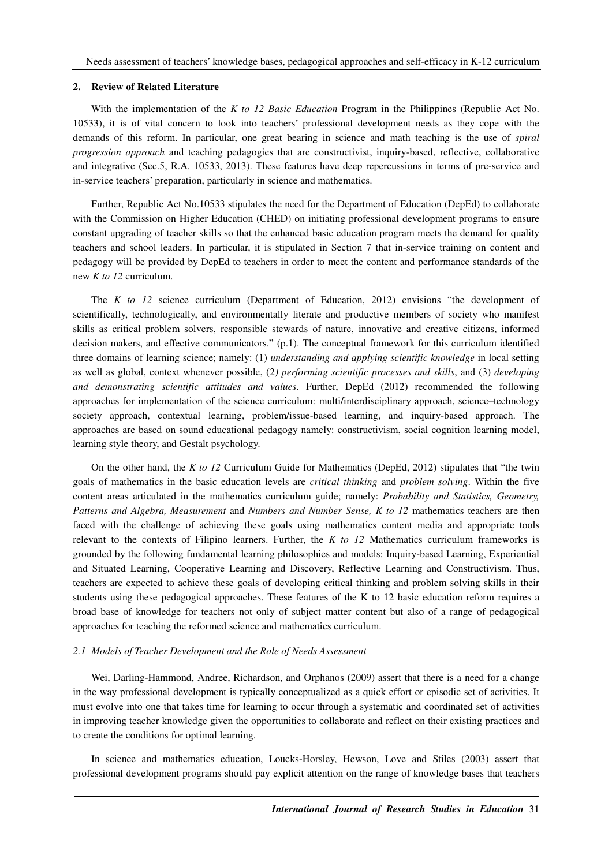#### **2. Review of Related Literature**

With the implementation of the *K to 12 Basic Education* Program in the Philippines (Republic Act No. 10533), it is of vital concern to look into teachers' professional development needs as they cope with the demands of this reform. In particular, one great bearing in science and math teaching is the use of *spiral progression approach* and teaching pedagogies that are constructivist, inquiry-based, reflective, collaborative and integrative (Sec.5, R.A. 10533, 2013). These features have deep repercussions in terms of pre-service and in-service teachers' preparation, particularly in science and mathematics.

Further, Republic Act No.10533 stipulates the need for the Department of Education (DepEd) to collaborate with the Commission on Higher Education (CHED) on initiating professional development programs to ensure constant upgrading of teacher skills so that the enhanced basic education program meets the demand for quality teachers and school leaders. In particular, it is stipulated in Section 7 that in-service training on content and pedagogy will be provided by DepEd to teachers in order to meet the content and performance standards of the new *K to 12* curriculum.

The *K to 12* science curriculum (Department of Education, 2012) envisions "the development of scientifically, technologically, and environmentally literate and productive members of society who manifest skills as critical problem solvers, responsible stewards of nature, innovative and creative citizens, informed decision makers, and effective communicators." (p.1). The conceptual framework for this curriculum identified three domains of learning science; namely: (1) *understanding and applying scientific knowledge* in local setting as well as global, context whenever possible, (2*) performing scientific processes and skills*, and (3) *developing and demonstrating scientific attitudes and values*. Further, DepEd (2012) recommended the following approaches for implementation of the science curriculum: multi/interdisciplinary approach, science–technology society approach, contextual learning, problem/issue-based learning, and inquiry-based approach. The approaches are based on sound educational pedagogy namely: constructivism, social cognition learning model, learning style theory, and Gestalt psychology.

On the other hand, the *K to 12* Curriculum Guide for Mathematics (DepEd, 2012) stipulates that "the twin goals of mathematics in the basic education levels are *critical thinking* and *problem solving*. Within the five content areas articulated in the mathematics curriculum guide; namely: *Probability and Statistics, Geometry, Patterns and Algebra, Measurement* and *Numbers and Number Sense, K to 12* mathematics teachers are then faced with the challenge of achieving these goals using mathematics content media and appropriate tools relevant to the contexts of Filipino learners. Further, the *K to 12* Mathematics curriculum frameworks is grounded by the following fundamental learning philosophies and models: Inquiry-based Learning, Experiential and Situated Learning, Cooperative Learning and Discovery, Reflective Learning and Constructivism. Thus, teachers are expected to achieve these goals of developing critical thinking and problem solving skills in their students using these pedagogical approaches. These features of the K to 12 basic education reform requires a broad base of knowledge for teachers not only of subject matter content but also of a range of pedagogical approaches for teaching the reformed science and mathematics curriculum.

#### *2.1 Models of Teacher Development and the Role of Needs Assessment*

Wei, Darling-Hammond, Andree, Richardson, and Orphanos (2009) assert that there is a need for a change in the way professional development is typically conceptualized as a quick effort or episodic set of activities. It must evolve into one that takes time for learning to occur through a systematic and coordinated set of activities in improving teacher knowledge given the opportunities to collaborate and reflect on their existing practices and to create the conditions for optimal learning.

In science and mathematics education, Loucks-Horsley, Hewson, Love and Stiles (2003) assert that professional development programs should pay explicit attention on the range of knowledge bases that teachers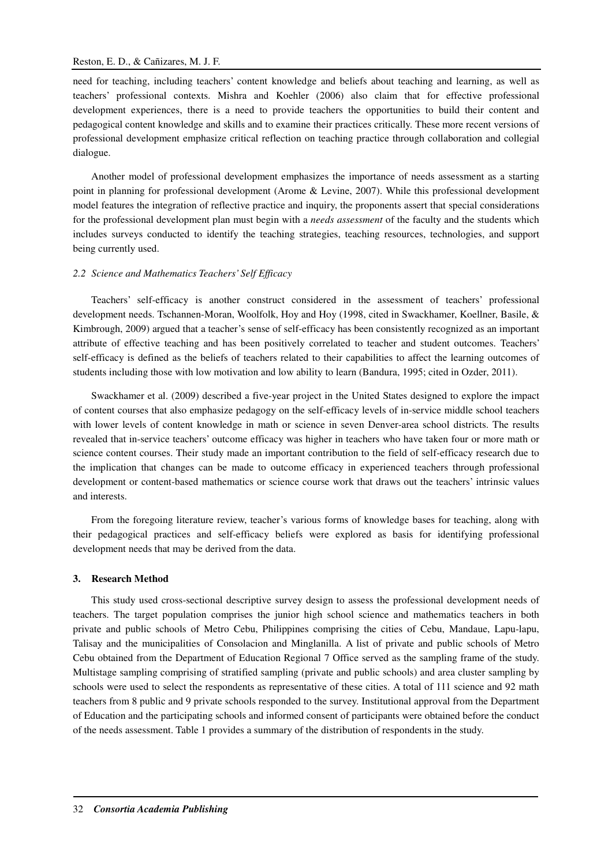need for teaching, including teachers' content knowledge and beliefs about teaching and learning, as well as teachers' professional contexts. Mishra and Koehler (2006) also claim that for effective professional development experiences, there is a need to provide teachers the opportunities to build their content and pedagogical content knowledge and skills and to examine their practices critically. These more recent versions of professional development emphasize critical reflection on teaching practice through collaboration and collegial dialogue.

Another model of professional development emphasizes the importance of needs assessment as a starting point in planning for professional development (Arome & Levine, 2007). While this professional development model features the integration of reflective practice and inquiry, the proponents assert that special considerations for the professional development plan must begin with a *needs assessment* of the faculty and the students which includes surveys conducted to identify the teaching strategies, teaching resources, technologies, and support being currently used.

### *2.2 Science and Mathematics Teachers' Self Efficacy*

Teachers' self-efficacy is another construct considered in the assessment of teachers' professional development needs. Tschannen-Moran, Woolfolk, Hoy and Hoy (1998, cited in Swackhamer, Koellner, Basile, & Kimbrough, 2009) argued that a teacher's sense of self-efficacy has been consistently recognized as an important attribute of effective teaching and has been positively correlated to teacher and student outcomes. Teachers' self-efficacy is defined as the beliefs of teachers related to their capabilities to affect the learning outcomes of students including those with low motivation and low ability to learn (Bandura, 1995; cited in Ozder, 2011).

Swackhamer et al. (2009) described a five-year project in the United States designed to explore the impact of content courses that also emphasize pedagogy on the self-efficacy levels of in-service middle school teachers with lower levels of content knowledge in math or science in seven Denver-area school districts. The results revealed that in-service teachers' outcome efficacy was higher in teachers who have taken four or more math or science content courses. Their study made an important contribution to the field of self-efficacy research due to the implication that changes can be made to outcome efficacy in experienced teachers through professional development or content-based mathematics or science course work that draws out the teachers' intrinsic values and interests.

From the foregoing literature review, teacher's various forms of knowledge bases for teaching, along with their pedagogical practices and self-efficacy beliefs were explored as basis for identifying professional development needs that may be derived from the data.

#### **3. Research Method**

This study used cross-sectional descriptive survey design to assess the professional development needs of teachers. The target population comprises the junior high school science and mathematics teachers in both private and public schools of Metro Cebu, Philippines comprising the cities of Cebu, Mandaue, Lapu-lapu, Talisay and the municipalities of Consolacion and Minglanilla. A list of private and public schools of Metro Cebu obtained from the Department of Education Regional 7 Office served as the sampling frame of the study. Multistage sampling comprising of stratified sampling (private and public schools) and area cluster sampling by schools were used to select the respondents as representative of these cities. A total of 111 science and 92 math teachers from 8 public and 9 private schools responded to the survey. Institutional approval from the Department of Education and the participating schools and informed consent of participants were obtained before the conduct of the needs assessment. Table 1 provides a summary of the distribution of respondents in the study.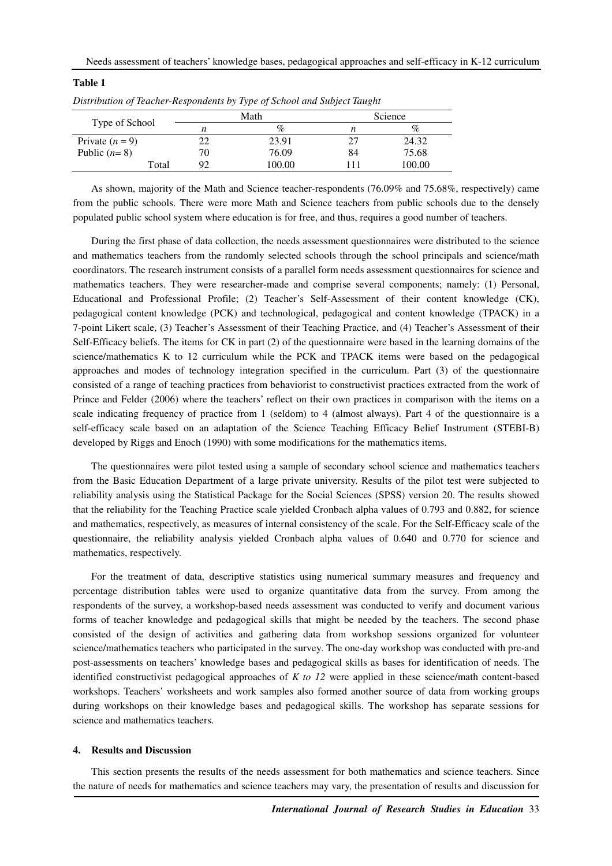| Type of School    |    | Math   | Science |        |
|-------------------|----|--------|---------|--------|
|                   | n  | $\%$   |         | $\%$   |
| Private $(n = 9)$ | 22 | 23.91  |         | 24.32  |
| Public $(n=8)$    | 70 | 76.09  | 84      | 75.68  |
| Total             | 92 | 100.00 |         | 100.00 |

*Distribution of Teacher-Respondents by Type of School and Subject Taught*

**Table 1** 

As shown, majority of the Math and Science teacher-respondents (76.09% and 75.68%, respectively) came from the public schools. There were more Math and Science teachers from public schools due to the densely populated public school system where education is for free, and thus, requires a good number of teachers.

During the first phase of data collection, the needs assessment questionnaires were distributed to the science and mathematics teachers from the randomly selected schools through the school principals and science/math coordinators. The research instrument consists of a parallel form needs assessment questionnaires for science and mathematics teachers. They were researcher-made and comprise several components; namely: (1) Personal, Educational and Professional Profile; (2) Teacher's Self-Assessment of their content knowledge (CK), pedagogical content knowledge (PCK) and technological, pedagogical and content knowledge (TPACK) in a 7-point Likert scale, (3) Teacher's Assessment of their Teaching Practice, and (4) Teacher's Assessment of their Self-Efficacy beliefs. The items for CK in part (2) of the questionnaire were based in the learning domains of the science/mathematics K to 12 curriculum while the PCK and TPACK items were based on the pedagogical approaches and modes of technology integration specified in the curriculum. Part (3) of the questionnaire consisted of a range of teaching practices from behaviorist to constructivist practices extracted from the work of Prince and Felder (2006) where the teachers' reflect on their own practices in comparison with the items on a scale indicating frequency of practice from 1 (seldom) to 4 (almost always). Part 4 of the questionnaire is a self-efficacy scale based on an adaptation of the Science Teaching Efficacy Belief Instrument (STEBI-B) developed by Riggs and Enoch (1990) with some modifications for the mathematics items.

The questionnaires were pilot tested using a sample of secondary school science and mathematics teachers from the Basic Education Department of a large private university. Results of the pilot test were subjected to reliability analysis using the Statistical Package for the Social Sciences (SPSS) version 20. The results showed that the reliability for the Teaching Practice scale yielded Cronbach alpha values of 0.793 and 0.882, for science and mathematics, respectively, as measures of internal consistency of the scale. For the Self-Efficacy scale of the questionnaire, the reliability analysis yielded Cronbach alpha values of 0.640 and 0.770 for science and mathematics, respectively.

For the treatment of data, descriptive statistics using numerical summary measures and frequency and percentage distribution tables were used to organize quantitative data from the survey. From among the respondents of the survey, a workshop-based needs assessment was conducted to verify and document various forms of teacher knowledge and pedagogical skills that might be needed by the teachers. The second phase consisted of the design of activities and gathering data from workshop sessions organized for volunteer science/mathematics teachers who participated in the survey. The one-day workshop was conducted with pre-and post-assessments on teachers' knowledge bases and pedagogical skills as bases for identification of needs. The identified constructivist pedagogical approaches of *K to 12* were applied in these science/math content-based workshops. Teachers' worksheets and work samples also formed another source of data from working groups during workshops on their knowledge bases and pedagogical skills. The workshop has separate sessions for science and mathematics teachers.

#### **4. Results and Discussion**

This section presents the results of the needs assessment for both mathematics and science teachers. Since the nature of needs for mathematics and science teachers may vary, the presentation of results and discussion for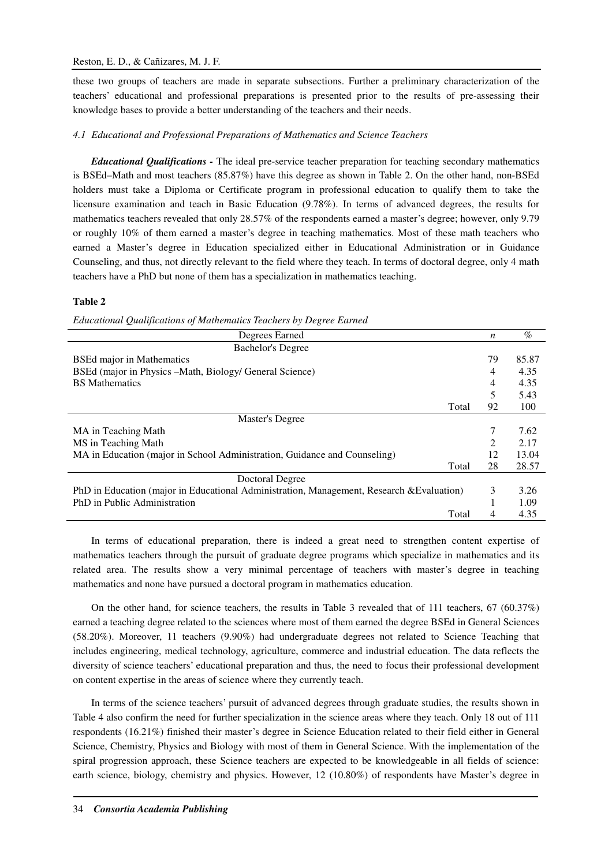these two groups of teachers are made in separate subsections. Further a preliminary characterization of the teachers' educational and professional preparations is presented prior to the results of pre-assessing their knowledge bases to provide a better understanding of the teachers and their needs.

#### *4.1 Educational and Professional Preparations of Mathematics and Science Teachers*

*Educational Qualifications -* The ideal pre-service teacher preparation for teaching secondary mathematics is BSEd–Math and most teachers (85.87%) have this degree as shown in Table 2. On the other hand, non-BSEd holders must take a Diploma or Certificate program in professional education to qualify them to take the licensure examination and teach in Basic Education (9.78%). In terms of advanced degrees, the results for mathematics teachers revealed that only 28.57% of the respondents earned a master's degree; however, only 9.79 or roughly 10% of them earned a master's degree in teaching mathematics. Most of these math teachers who earned a Master's degree in Education specialized either in Educational Administration or in Guidance Counseling, and thus, not directly relevant to the field where they teach. In terms of doctoral degree, only 4 math teachers have a PhD but none of them has a specialization in mathematics teaching.

### **Table 2**

*Educational Qualifications of Mathematics Teachers by Degree Earned* 

| Degrees Earned                                                                            | n  | $\%$  |
|-------------------------------------------------------------------------------------------|----|-------|
| <b>Bachelor's Degree</b>                                                                  |    |       |
| <b>BSEd major in Mathematics</b>                                                          | 79 | 85.87 |
| BSEd (major in Physics – Math, Biology/ General Science)                                  | 4  | 4.35  |
| <b>BS</b> Mathematics                                                                     | 4  | 4.35  |
|                                                                                           | 5  | 5.43  |
| Total                                                                                     | 92 | 100   |
| Master's Degree                                                                           |    |       |
| MA in Teaching Math                                                                       | 7  | 7.62  |
| MS in Teaching Math                                                                       | 2  | 2.17  |
| MA in Education (major in School Administration, Guidance and Counseling)                 | 12 | 13.04 |
| Total                                                                                     | 28 | 28.57 |
| Doctoral Degree                                                                           |    |       |
| PhD in Education (major in Educational Administration, Management, Research & Evaluation) | 3  | 3.26  |
| PhD in Public Administration                                                              |    | 1.09  |
| Total                                                                                     | 4  | 4.35  |

In terms of educational preparation, there is indeed a great need to strengthen content expertise of mathematics teachers through the pursuit of graduate degree programs which specialize in mathematics and its related area. The results show a very minimal percentage of teachers with master's degree in teaching mathematics and none have pursued a doctoral program in mathematics education.

On the other hand, for science teachers, the results in Table 3 revealed that of 111 teachers, 67 (60.37%) earned a teaching degree related to the sciences where most of them earned the degree BSEd in General Sciences (58.20%). Moreover, 11 teachers (9.90%) had undergraduate degrees not related to Science Teaching that includes engineering, medical technology, agriculture, commerce and industrial education. The data reflects the diversity of science teachers' educational preparation and thus, the need to focus their professional development on content expertise in the areas of science where they currently teach.

In terms of the science teachers' pursuit of advanced degrees through graduate studies, the results shown in Table 4 also confirm the need for further specialization in the science areas where they teach. Only 18 out of 111 respondents (16.21%) finished their master's degree in Science Education related to their field either in General Science, Chemistry, Physics and Biology with most of them in General Science. With the implementation of the spiral progression approach, these Science teachers are expected to be knowledgeable in all fields of science: earth science, biology, chemistry and physics. However, 12 (10.80%) of respondents have Master's degree in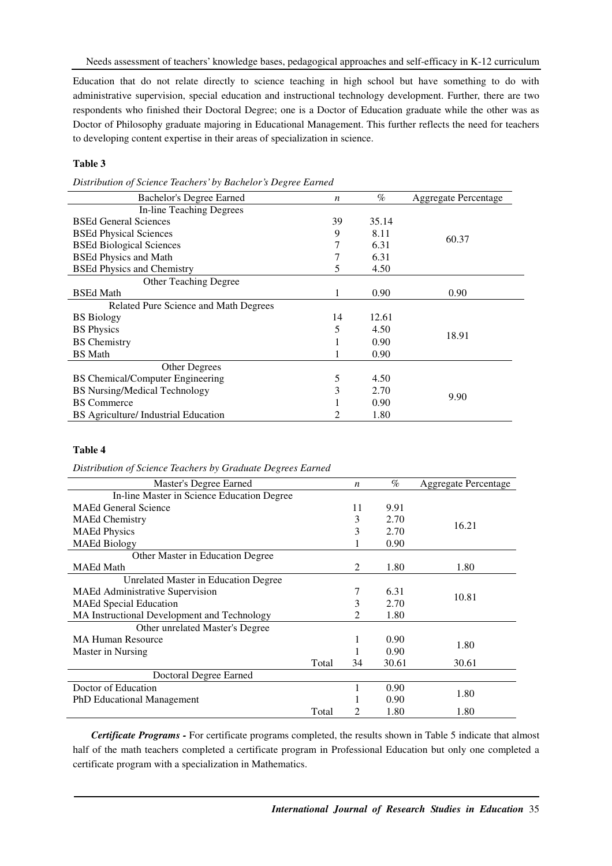Education that do not relate directly to science teaching in high school but have something to do with administrative supervision, special education and instructional technology development. Further, there are two respondents who finished their Doctoral Degree; one is a Doctor of Education graduate while the other was as Doctor of Philosophy graduate majoring in Educational Management. This further reflects the need for teachers to developing content expertise in their areas of specialization in science.

# **Table 3**

*Distribution of Science Teachers' by Bachelor's Degree Earned* 

| Bachelor's Degree Earned                | n  | $\%$  | Aggregate Percentage |
|-----------------------------------------|----|-------|----------------------|
| <b>In-line Teaching Degrees</b>         |    |       |                      |
| <b>BSEd General Sciences</b>            | 39 | 35.14 |                      |
| <b>BSEd Physical Sciences</b>           | 9  | 8.11  | 60.37                |
| <b>BSEd Biological Sciences</b>         | 7  | 6.31  |                      |
| <b>BSEd Physics and Math</b>            |    | 6.31  |                      |
| <b>BSEd Physics and Chemistry</b>       | 5  | 4.50  |                      |
| <b>Other Teaching Degree</b>            |    |       |                      |
| <b>BSEd Math</b>                        |    | 0.90  | 0.90                 |
| Related Pure Science and Math Degrees   |    |       |                      |
| <b>BS</b> Biology                       | 14 | 12.61 |                      |
| <b>BS</b> Physics                       | 5  | 4.50  |                      |
| <b>BS</b> Chemistry                     |    | 0.90  | 18.91                |
| <b>BS</b> Math                          |    | 0.90  |                      |
| Other Degrees                           |    |       |                      |
| <b>BS</b> Chemical/Computer Engineering | 5  | 4.50  |                      |
| <b>BS</b> Nursing/Medical Technology    | 3  | 2.70  |                      |
| <b>BS</b> Commerce                      |    | 0.90  | 9.90                 |
| BS Agriculture/ Industrial Education    | 2  | 1.80  |                      |

# **Table 4**

*Distribution of Science Teachers by Graduate Degrees Earned* 

| Master's Degree Earned                      |       | $\boldsymbol{n}$ | $\%$  | <b>Aggregate Percentage</b> |
|---------------------------------------------|-------|------------------|-------|-----------------------------|
| In-line Master in Science Education Degree  |       |                  |       |                             |
| <b>MAEd General Science</b>                 |       | 11               | 9.91  |                             |
| <b>MAEd Chemistry</b>                       |       | 3                | 2.70  | 16.21                       |
| <b>MAEd Physics</b>                         |       | 3                | 2.70  |                             |
| <b>MAEd Biology</b>                         |       |                  | 0.90  |                             |
| Other Master in Education Degree            |       |                  |       |                             |
| <b>MAEd Math</b>                            |       | 2                | 1.80  | 1.80                        |
| Unrelated Master in Education Degree        |       |                  |       |                             |
| MAEd Administrative Supervision             |       | 7                | 6.31  | 10.81                       |
| <b>MAEd Special Education</b>               |       | 3                | 2.70  |                             |
| MA Instructional Development and Technology |       | 2                | 1.80  |                             |
| Other unrelated Master's Degree             |       |                  |       |                             |
| <b>MA Human Resource</b>                    |       | п                | 0.90  | 1.80                        |
| Master in Nursing                           |       |                  | 0.90  |                             |
|                                             | Total | 34               | 30.61 | 30.61                       |
| Doctoral Degree Earned                      |       |                  |       |                             |
| Doctor of Education                         |       |                  | 0.90  | 1.80                        |
| <b>PhD</b> Educational Management           |       |                  | 0.90  |                             |
|                                             | Total | 2                | 1.80  | 1.80                        |

*Certificate Programs -* For certificate programs completed, the results shown in Table 5 indicate that almost half of the math teachers completed a certificate program in Professional Education but only one completed a certificate program with a specialization in Mathematics.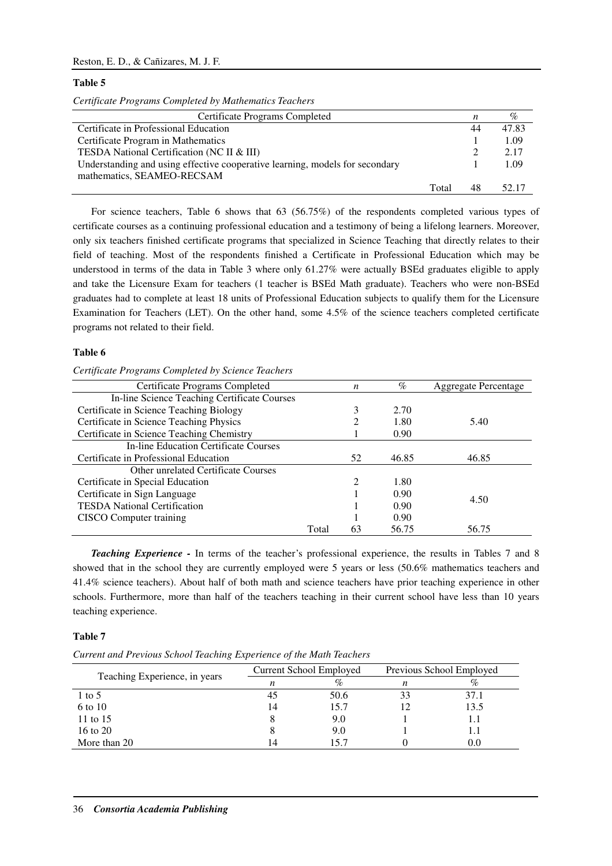### Reston, E. D., & Cañizares, M. J. F.

#### **Table 5**

|  | Certificate Programs Completed by Mathematics Teachers |  |  |
|--|--------------------------------------------------------|--|--|
|--|--------------------------------------------------------|--|--|

| Certificate Programs Completed                                               |       | n  | $\%$  |
|------------------------------------------------------------------------------|-------|----|-------|
| Certificate in Professional Education                                        |       | 44 | 47.83 |
| Certificate Program in Mathematics                                           |       |    | 1.09  |
| TESDA National Certification (NC II & III)                                   |       |    | 2.17  |
| Understanding and using effective cooperative learning, models for secondary |       |    | 1.09  |
| mathematics, SEAMEO-RECSAM                                                   |       |    |       |
|                                                                              | Total | 48 | 52.17 |

For science teachers, Table 6 shows that 63 (56.75%) of the respondents completed various types of certificate courses as a continuing professional education and a testimony of being a lifelong learners. Moreover, only six teachers finished certificate programs that specialized in Science Teaching that directly relates to their field of teaching. Most of the respondents finished a Certificate in Professional Education which may be understood in terms of the data in Table 3 where only 61.27% were actually BSEd graduates eligible to apply and take the Licensure Exam for teachers (1 teacher is BSEd Math graduate). Teachers who were non-BSEd graduates had to complete at least 18 units of Professional Education subjects to qualify them for the Licensure Examination for Teachers (LET). On the other hand, some 4.5% of the science teachers completed certificate programs not related to their field.

#### **Table 6**

|  | Certificate Programs Completed by Science Teachers |  |
|--|----------------------------------------------------|--|
|  |                                                    |  |

| Certificate Programs Completed               |       | n              | $\%$  | <b>Aggregate Percentage</b> |
|----------------------------------------------|-------|----------------|-------|-----------------------------|
| In-line Science Teaching Certificate Courses |       |                |       |                             |
| Certificate in Science Teaching Biology      |       | 3              | 2.70  |                             |
| Certificate in Science Teaching Physics      |       | 2              | 1.80  | 5.40                        |
| Certificate in Science Teaching Chemistry    |       |                | 0.90  |                             |
| In-line Education Certificate Courses        |       |                |       |                             |
| Certificate in Professional Education        |       | 52             | 46.85 | 46.85                       |
| Other unrelated Certificate Courses          |       |                |       |                             |
| Certificate in Special Education             |       | $\mathfrak{D}$ | 1.80  |                             |
| Certificate in Sign Language                 |       |                | 0.90  | 4.50                        |
| <b>TESDA National Certification</b>          |       |                | 0.90  |                             |
| CISCO Computer training                      |       |                | 0.90  |                             |
|                                              | Total | 63             | 56.75 | 56.75                       |

*Teaching Experience -* In terms of the teacher's professional experience, the results in Tables 7 and 8 showed that in the school they are currently employed were 5 years or less (50.6% mathematics teachers and 41.4% science teachers). About half of both math and science teachers have prior teaching experience in other schools. Furthermore, more than half of the teachers teaching in their current school have less than 10 years teaching experience.

# **Table 7**

*Current and Previous School Teaching Experience of the Math Teachers* 

|                               |    | Current School Employed | Previous School Employed |      |
|-------------------------------|----|-------------------------|--------------------------|------|
| Teaching Experience, in years | n  | $\%$                    | п                        |      |
| 1 to 5                        |    | 50.6                    |                          | 37.1 |
| 6 to 10                       | 14 | 15.7                    |                          | 13.5 |
| 11 to 15                      |    | 9.0                     |                          |      |
| 16 to 20                      |    | 9.0                     |                          |      |
| More than 20                  |    | 15.7                    |                          | U.U  |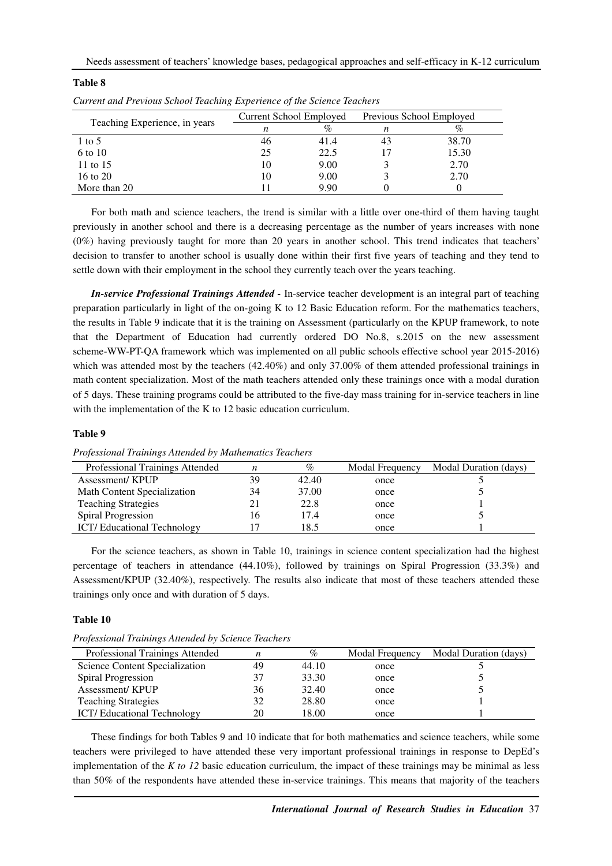|                               | Current School Employed |      | Previous School Employed |       |
|-------------------------------|-------------------------|------|--------------------------|-------|
| Teaching Experience, in years | n                       | %    | n                        |       |
| $1 \text{ to } 5$             | 46                      | 41.4 | 43                       | 38.70 |
| 6 to 10                       | 25                      | 22.5 |                          | 15.30 |
| 11 to 15                      | 10                      | 9.00 |                          | 2.70  |
| 16 to 20                      | 10                      | 9.00 |                          | 2.70  |
| More than 20                  |                         | 9.90 |                          |       |

For both math and science teachers, the trend is similar with a little over one-third of them having taught previously in another school and there is a decreasing percentage as the number of years increases with none (0%) having previously taught for more than 20 years in another school. This trend indicates that teachers' decision to transfer to another school is usually done within their first five years of teaching and they tend to settle down with their employment in the school they currently teach over the years teaching.

*In-service Professional Trainings Attended -* In-service teacher development is an integral part of teaching preparation particularly in light of the on-going K to 12 Basic Education reform. For the mathematics teachers, the results in Table 9 indicate that it is the training on Assessment (particularly on the KPUP framework, to note that the Department of Education had currently ordered DO No.8, s.2015 on the new assessment scheme-WW-PT-QA framework which was implemented on all public schools effective school year 2015-2016) which was attended most by the teachers (42.40%) and only 37.00% of them attended professional trainings in math content specialization. Most of the math teachers attended only these trainings once with a modal duration of 5 days. These training programs could be attributed to the five-day mass training for in-service teachers in line with the implementation of the K to 12 basic education curriculum.

# **Table 9**

**Table 8** 

| Professional Trainings Attended   |    | %     | Modal Frequency | Modal Duration (days) |
|-----------------------------------|----|-------|-----------------|-----------------------|
| Assessment/KPUP                   | 39 | 42.40 | once            |                       |
| Math Content Specialization       | 34 | 37.00 | once            |                       |
| <b>Teaching Strategies</b>        |    | 22.8  | once            |                       |
| <b>Spiral Progression</b>         | 16 | 17.4  | once            |                       |
| <b>ICT/Educational Technology</b> |    | 18.5  | once            |                       |

*Professional Trainings Attended by Mathematics Teachers* 

For the science teachers, as shown in Table 10, trainings in science content specialization had the highest percentage of teachers in attendance (44.10%), followed by trainings on Spiral Progression (33.3%) and Assessment/KPUP (32.40%), respectively. The results also indicate that most of these teachers attended these trainings only once and with duration of 5 days.

#### **Table 10**

*Professional Trainings Attended by Science Teachers*

| Professional Trainings Attended   |    | %     | Modal Frequency | Modal Duration (days) |
|-----------------------------------|----|-------|-----------------|-----------------------|
| Science Content Specialization    | 49 | 44.10 | once            |                       |
| Spiral Progression                | 37 | 33.30 | once            |                       |
| Assessment/KPUP                   | 36 | 32.40 | once            |                       |
| <b>Teaching Strategies</b>        | 32 | 28.80 | once            |                       |
| <b>ICT/Educational Technology</b> | 20 | 18.00 | once            |                       |

These findings for both Tables 9 and 10 indicate that for both mathematics and science teachers, while some teachers were privileged to have attended these very important professional trainings in response to DepEd's implementation of the *K to 12* basic education curriculum, the impact of these trainings may be minimal as less than 50% of the respondents have attended these in-service trainings. This means that majority of the teachers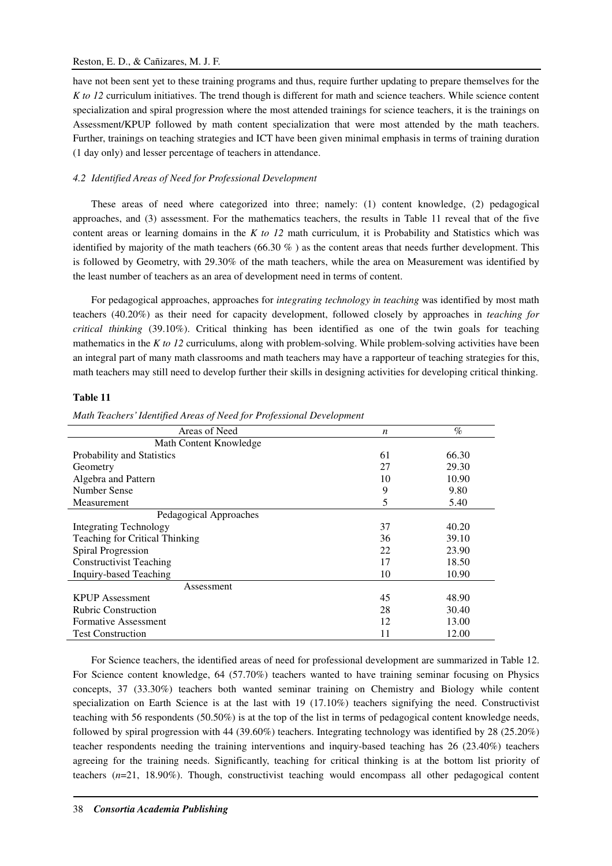## Reston, E. D., & Cañizares, M. J. F.

have not been sent yet to these training programs and thus, require further updating to prepare themselves for the *K to 12* curriculum initiatives. The trend though is different for math and science teachers. While science content specialization and spiral progression where the most attended trainings for science teachers, it is the trainings on Assessment/KPUP followed by math content specialization that were most attended by the math teachers. Further, trainings on teaching strategies and ICT have been given minimal emphasis in terms of training duration (1 day only) and lesser percentage of teachers in attendance.

# *4.2 Identified Areas of Need for Professional Development*

These areas of need where categorized into three; namely: (1) content knowledge, (2) pedagogical approaches, and (3) assessment. For the mathematics teachers, the results in Table 11 reveal that of the five content areas or learning domains in the *K to 12* math curriculum, it is Probability and Statistics which was identified by majority of the math teachers  $(66.30\%)$  as the content areas that needs further development. This is followed by Geometry, with 29.30% of the math teachers, while the area on Measurement was identified by the least number of teachers as an area of development need in terms of content.

For pedagogical approaches, approaches for *integrating technology in teaching* was identified by most math teachers (40.20%) as their need for capacity development, followed closely by approaches in *teaching for critical thinking* (39.10%). Critical thinking has been identified as one of the twin goals for teaching mathematics in the *K to 12* curriculums, along with problem-solving. While problem-solving activities have been an integral part of many math classrooms and math teachers may have a rapporteur of teaching strategies for this, math teachers may still need to develop further their skills in designing activities for developing critical thinking.

# **Table 11**

| Areas of Need                  | n  | $\%$  |
|--------------------------------|----|-------|
| Math Content Knowledge         |    |       |
| Probability and Statistics     | 61 | 66.30 |
| Geometry                       | 27 | 29.30 |
| Algebra and Pattern            | 10 | 10.90 |
| Number Sense                   | 9  | 9.80  |
| Measurement                    | 5  | 5.40  |
| Pedagogical Approaches         |    |       |
| Integrating Technology         | 37 | 40.20 |
| Teaching for Critical Thinking | 36 | 39.10 |
| Spiral Progression             | 22 | 23.90 |
| <b>Constructivist Teaching</b> | 17 | 18.50 |
| Inquiry-based Teaching         | 10 | 10.90 |
| Assessment                     |    |       |
| <b>KPUP</b> Assessment         | 45 | 48.90 |
| <b>Rubric Construction</b>     | 28 | 30.40 |
| <b>Formative Assessment</b>    | 12 | 13.00 |
| <b>Test Construction</b>       | 11 | 12.00 |

*Math Teachers' Identified Areas of Need for Professional Development* 

For Science teachers, the identified areas of need for professional development are summarized in Table 12. For Science content knowledge, 64 (57.70%) teachers wanted to have training seminar focusing on Physics concepts, 37 (33.30%) teachers both wanted seminar training on Chemistry and Biology while content specialization on Earth Science is at the last with 19 (17.10%) teachers signifying the need. Constructivist teaching with 56 respondents (50.50%) is at the top of the list in terms of pedagogical content knowledge needs, followed by spiral progression with 44 (39.60%) teachers. Integrating technology was identified by 28 (25.20%) teacher respondents needing the training interventions and inquiry-based teaching has 26 (23.40%) teachers agreeing for the training needs. Significantly, teaching for critical thinking is at the bottom list priority of teachers (*n*=21, 18.90%). Though, constructivist teaching would encompass all other pedagogical content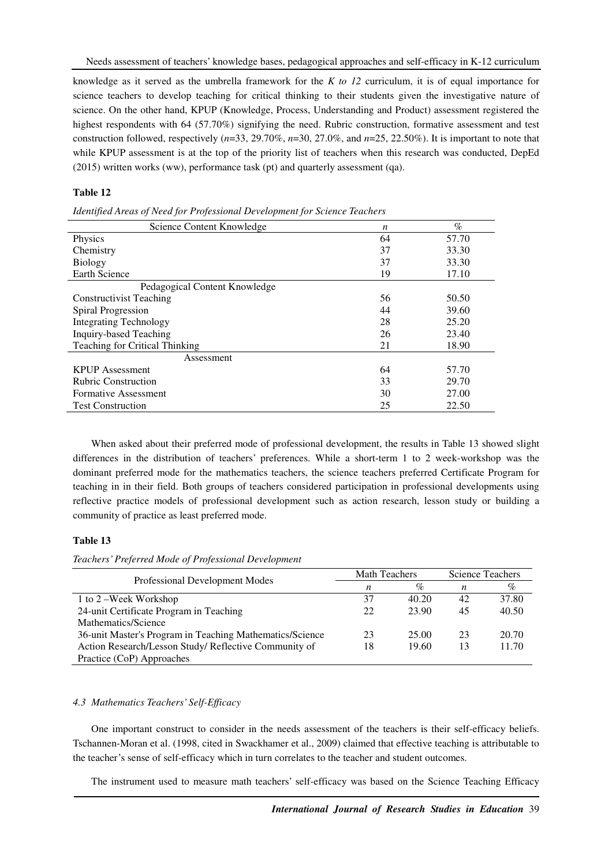knowledge as it served as the umbrella framework for the *K to 12* curriculum, it is of equal importance for science teachers to develop teaching for critical thinking to their students given the investigative nature of science. On the other hand, KPUP (Knowledge, Process, Understanding and Product) assessment registered the highest respondents with 64 (57.70%) signifying the need. Rubric construction, formative assessment and test construction followed, respectively (*n*=33, 29.70%, *n*=30, 27.0%, and *n*=25, 22.50%). It is important to note that while KPUP assessment is at the top of the priority list of teachers when this research was conducted, DepEd (2015) written works (ww), performance task (pt) and quarterly assessment (qa).

### **Table 12**

| Identified Areas of Need for Professional Development for Science Teachers |    |       |
|----------------------------------------------------------------------------|----|-------|
| Science Content Knowledge                                                  | n  | $\%$  |
| <b>Physics</b>                                                             | 64 | 57.70 |
| Chemistry                                                                  | 37 | 33.30 |
| <b>Biology</b>                                                             | 37 | 33.30 |
| <b>Earth Science</b>                                                       | 19 | 17.10 |
| Pedagogical Content Knowledge                                              |    |       |
| <b>Constructivist Teaching</b>                                             | 56 | 50.50 |
| Spiral Progression                                                         | 44 | 39.60 |
| <b>Integrating Technology</b>                                              | 28 | 25.20 |
| Inquiry-based Teaching                                                     | 26 | 23.40 |
| Teaching for Critical Thinking                                             | 21 | 18.90 |
| Assessment                                                                 |    |       |
| <b>KPUP</b> Assessment                                                     | 64 | 57.70 |
| <b>Rubric Construction</b>                                                 | 33 | 29.70 |
| <b>Formative Assessment</b>                                                | 30 | 27.00 |
| <b>Test Construction</b>                                                   | 25 | 22.50 |

When asked about their preferred mode of professional development, the results in Table 13 showed slight differences in the distribution of teachers' preferences. While a short-term 1 to 2 week-workshop was the dominant preferred mode for the mathematics teachers, the science teachers preferred Certificate Program for teaching in in their field. Both groups of teachers considered participation in professional developments using reflective practice models of professional development such as action research, lesson study or building a community of practice as least preferred mode.

# **Table 13**

*Teachers' Preferred Mode of Professional Development* 

|                                                          | <b>Math Teachers</b> |       | <b>Science Teachers</b> |       |
|----------------------------------------------------------|----------------------|-------|-------------------------|-------|
| Professional Development Modes                           | n                    | $\%$  | n                       | %     |
| 1 to 2 – Week Workshop                                   | 37                   | 40.20 | 42                      | 37.80 |
| 24-unit Certificate Program in Teaching                  | 22                   | 23.90 | 45                      | 40.50 |
| Mathematics/Science                                      |                      |       |                         |       |
| 36-unit Master's Program in Teaching Mathematics/Science | 23                   | 25.00 | 23                      | 20.70 |
| Action Research/Lesson Study/ Reflective Community of    | 18                   | 19.60 | 13                      | 11.70 |
| Practice (CoP) Approaches                                |                      |       |                         |       |

### *4.3 Mathematics Teachers' Self-Efficacy*

One important construct to consider in the needs assessment of the teachers is their self-efficacy beliefs. Tschannen-Moran et al. (1998, cited in Swackhamer et al., 2009) claimed that effective teaching is attributable to the teacher's sense of self-efficacy which in turn correlates to the teacher and student outcomes.

The instrument used to measure math teachers' self-efficacy was based on the Science Teaching Efficacy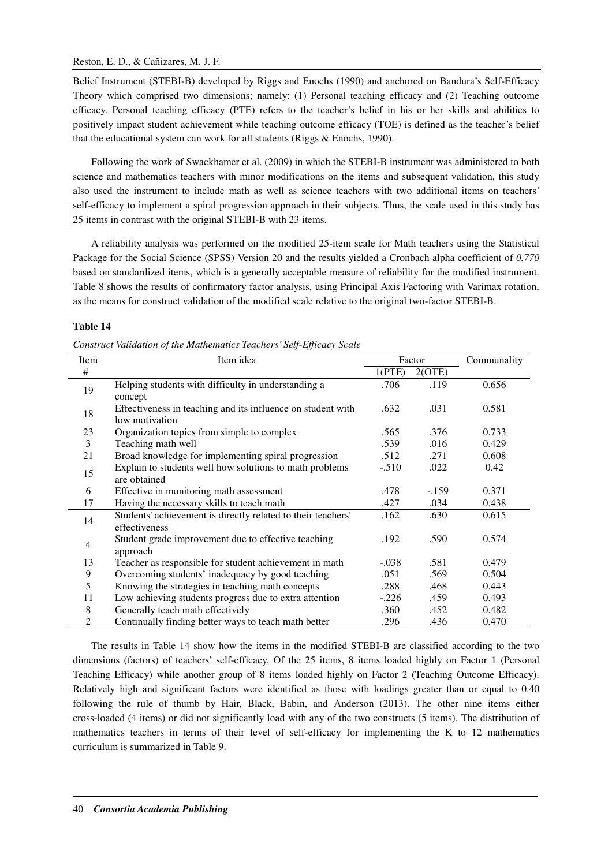Belief Instrument (STEBI-B) developed by Riggs and Enochs (1990) and anchored on Bandura's Self-Efficacy Theory which comprised two dimensions; namely: (1) Personal teaching efficacy and (2) Teaching outcome efficacy. Personal teaching efficacy (PTE) refers to the teacher's belief in his or her skills and abilities to positively impact student achievement while teaching outcome efficacy (TOE) is defined as the teacher's belief that the educational system can work for all students (Riggs & Enochs, 1990).

Following the work of Swackhamer et al. (2009) in which the STEBI-B instrument was administered to both science and mathematics teachers with minor modifications on the items and subsequent validation, this study also used the instrument to include math as well as science teachers with two additional items on teachers' self-efficacy to implement a spiral progression approach in their subjects. Thus, the scale used in this study has 25 items in contrast with the original STEBI-B with 23 items.

A reliability analysis was performed on the modified 25-item scale for Math teachers using the Statistical Package for the Social Science (SPSS) Version 20 and the results yielded a Cronbach alpha coefficient of *0.770* based on standardized items, which is a generally acceptable measure of reliability for the modified instrument. Table 8 shows the results of confirmatory factor analysis, using Principal Axis Factoring with Varimax rotation, as the means for construct validation of the modified scale relative to the original two-factor STEBI-B.

# **Table 14**

|  |  | Construct Validation of the Mathematics Teachers' Self-Efficacy Scale |  |
|--|--|-----------------------------------------------------------------------|--|
|  |  |                                                                       |  |

| Item           | Item idea                                                    |         | Factor | Communality |
|----------------|--------------------------------------------------------------|---------|--------|-------------|
| #              |                                                              | 1(PTE)  | 2(OTE) |             |
| 19             | Helping students with difficulty in understanding a          | .706    | .119   | 0.656       |
|                | concept                                                      |         |        |             |
| 18             | Effectiveness in teaching and its influence on student with  | .632    | .031   | 0.581       |
|                | low motivation                                               |         |        |             |
| 23             | Organization topics from simple to complex                   | .565    | .376   | 0.733       |
| 3              | Teaching math well                                           | .539    | .016   | 0.429       |
| 21             | Broad knowledge for implementing spiral progression          | .512    | .271   | 0.608       |
| 15             | Explain to students well how solutions to math problems      | $-.510$ | .022   | 0.42        |
|                | are obtained                                                 |         |        |             |
| 6              | Effective in monitoring math assessment                      | .478    | $-159$ | 0.371       |
| 17             | Having the necessary skills to teach math                    | .427    | .034   | 0.438       |
| 14             | Students' achievement is directly related to their teachers' | .162    | .630   | 0.615       |
|                | effectiveness                                                |         |        |             |
| 4              | Student grade improvement due to effective teaching          | .192    | .590   | 0.574       |
|                | approach                                                     |         |        |             |
| 13             | Teacher as responsible for student achievement in math       | $-.038$ | .581   | 0.479       |
| 9              | Overcoming students' inadequacy by good teaching             | .051    | .569   | 0.504       |
| 5              | Knowing the strategies in teaching math concepts             | .288    | .468   | 0.443       |
| 11             | Low achieving students progress due to extra attention       | $-.226$ | .459   | 0.493       |
| 8              | Generally teach math effectively                             | .360    | .452   | 0.482       |
| $\overline{2}$ | Continually finding better ways to teach math better         | .296    | .436   | 0.470       |

The results in Table 14 show how the items in the modified STEBI-B are classified according to the two dimensions (factors) of teachers' self-efficacy. Of the 25 items, 8 items loaded highly on Factor 1 (Personal Teaching Efficacy) while another group of 8 items loaded highly on Factor 2 (Teaching Outcome Efficacy). Relatively high and significant factors were identified as those with loadings greater than or equal to 0.40 following the rule of thumb by Hair, Black, Babin, and Anderson (2013). The other nine items either cross-loaded (4 items) or did not significantly load with any of the two constructs (5 items). The distribution of mathematics teachers in terms of their level of self-efficacy for implementing the K to 12 mathematics curriculum is summarized in Table 9.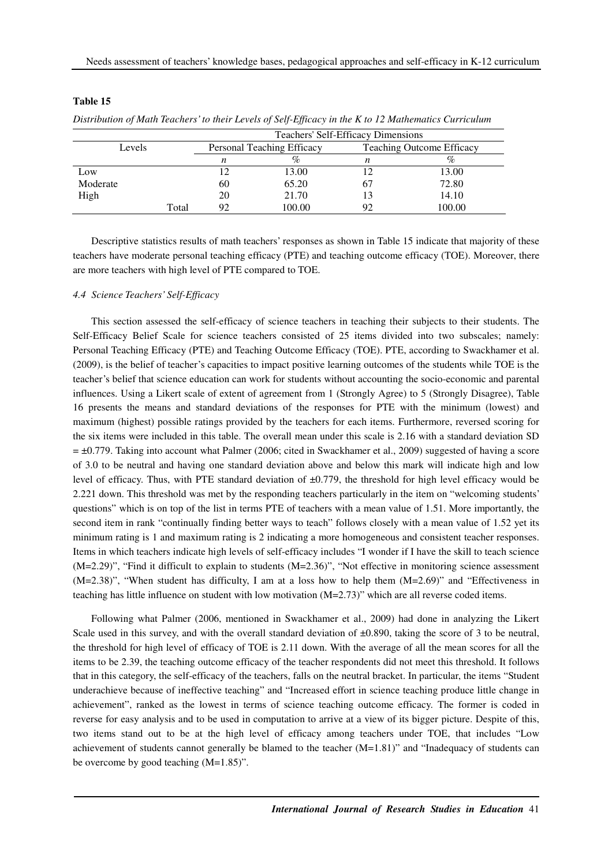|          |       | Teachers' Self-Efficacy Dimensions |                            |    |                                  |  |  |
|----------|-------|------------------------------------|----------------------------|----|----------------------------------|--|--|
| Levels   |       |                                    | Personal Teaching Efficacy |    | <b>Teaching Outcome Efficacy</b> |  |  |
|          |       | n                                  | %                          | n  |                                  |  |  |
| Low      |       |                                    | 13.00                      |    | 13.00                            |  |  |
| Moderate |       | 60                                 | 65.20                      | 67 | 72.80                            |  |  |
| High     |       | 20                                 | 21.70                      |    | 14.10                            |  |  |
|          | Total | 92                                 | 100.00                     | 92 | 100.00                           |  |  |

#### **Table 15**

*Distribution of Math Teachers' to their Levels of Self-Efficacy in the K to 12 Mathematics Curriculum* 

Descriptive statistics results of math teachers' responses as shown in Table 15 indicate that majority of these teachers have moderate personal teaching efficacy (PTE) and teaching outcome efficacy (TOE). Moreover, there are more teachers with high level of PTE compared to TOE.

### *4.4 Science Teachers' Self-Efficacy*

This section assessed the self-efficacy of science teachers in teaching their subjects to their students. The Self-Efficacy Belief Scale for science teachers consisted of 25 items divided into two subscales; namely: Personal Teaching Efficacy (PTE) and Teaching Outcome Efficacy (TOE). PTE, according to Swackhamer et al. (2009), is the belief of teacher's capacities to impact positive learning outcomes of the students while TOE is the teacher's belief that science education can work for students without accounting the socio-economic and parental influences. Using a Likert scale of extent of agreement from 1 (Strongly Agree) to 5 (Strongly Disagree), Table 16 presents the means and standard deviations of the responses for PTE with the minimum (lowest) and maximum (highest) possible ratings provided by the teachers for each items. Furthermore, reversed scoring for the six items were included in this table. The overall mean under this scale is 2.16 with a standard deviation SD  $= \pm 0.779$ . Taking into account what Palmer (2006; cited in Swackhamer et al., 2009) suggested of having a score of 3.0 to be neutral and having one standard deviation above and below this mark will indicate high and low level of efficacy. Thus, with PTE standard deviation of ±0.779, the threshold for high level efficacy would be 2.221 down. This threshold was met by the responding teachers particularly in the item on "welcoming students' questions" which is on top of the list in terms PTE of teachers with a mean value of 1.51. More importantly, the second item in rank "continually finding better ways to teach" follows closely with a mean value of 1.52 yet its minimum rating is 1 and maximum rating is 2 indicating a more homogeneous and consistent teacher responses. Items in which teachers indicate high levels of self-efficacy includes "I wonder if I have the skill to teach science (M=2.29)", "Find it difficult to explain to students (M=2.36)", "Not effective in monitoring science assessment (M=2.38)", "When student has difficulty, I am at a loss how to help them (M=2.69)" and "Effectiveness in teaching has little influence on student with low motivation (M=2.73)" which are all reverse coded items.

Following what Palmer (2006, mentioned in Swackhamer et al., 2009) had done in analyzing the Likert Scale used in this survey, and with the overall standard deviation of  $\pm 0.890$ , taking the score of 3 to be neutral, the threshold for high level of efficacy of TOE is 2.11 down. With the average of all the mean scores for all the items to be 2.39, the teaching outcome efficacy of the teacher respondents did not meet this threshold. It follows that in this category, the self-efficacy of the teachers, falls on the neutral bracket. In particular, the items "Student underachieve because of ineffective teaching" and "Increased effort in science teaching produce little change in achievement", ranked as the lowest in terms of science teaching outcome efficacy. The former is coded in reverse for easy analysis and to be used in computation to arrive at a view of its bigger picture. Despite of this, two items stand out to be at the high level of efficacy among teachers under TOE, that includes "Low achievement of students cannot generally be blamed to the teacher  $(M=1.81)$ " and "Inadequacy of students can be overcome by good teaching (M=1.85)".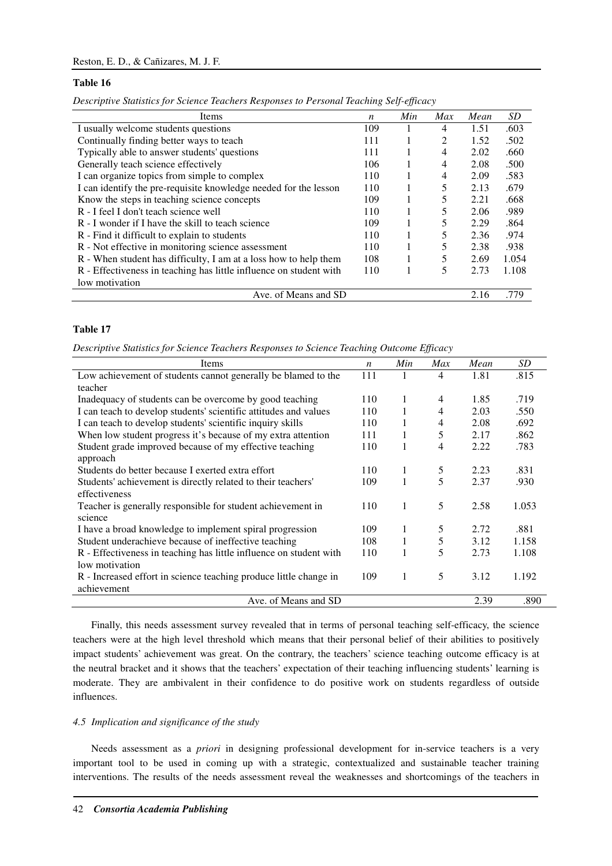#### **Table 16**

*Descriptive Statistics for Science Teachers Responses to Personal Teaching Self-efficacy* 

| Items                                                              | n   | Min | Max | Mean | SD    |
|--------------------------------------------------------------------|-----|-----|-----|------|-------|
| I usually welcome students questions                               | 109 |     | 4   | 1.51 | .603  |
| Continually finding better ways to teach                           | 111 |     | 2   | 1.52 | .502  |
| Typically able to answer students' questions                       | 111 |     | 4   | 2.02 | .660  |
| Generally teach science effectively                                | 106 |     | 4   | 2.08 | .500  |
| I can organize topics from simple to complex                       | 110 |     | 4   | 2.09 | .583  |
| I can identify the pre-requisite knowledge needed for the lesson   | 110 |     | 5   | 2.13 | .679  |
| Know the steps in teaching science concepts                        | 109 |     | 5   | 2.21 | .668  |
| R - I feel I don't teach science well                              | 110 |     | 5   | 2.06 | .989  |
| R - I wonder if I have the skill to teach science                  | 109 |     | 5   | 2.29 | .864  |
| R - Find it difficult to explain to students                       | 110 |     |     | 2.36 | .974  |
| R - Not effective in monitoring science assessment                 | 110 |     | 5   | 2.38 | .938  |
| R - When student has difficulty, I am at a loss how to help them   | 108 |     | 5   | 2.69 | 1.054 |
| R - Effectiveness in teaching has little influence on student with | 110 |     | 5   | 2.73 | 1.108 |
| low motivation                                                     |     |     |     |      |       |
| Ave. of Means and SD                                               |     |     |     | 2.16 | .779  |

### **Table 17**

*Descriptive Statistics for Science Teachers Responses to Science Teaching Outcome Efficacy* 

| Items                                                              | $\boldsymbol{n}$ | Min | Max | Mean | SD <sub>-</sub> |
|--------------------------------------------------------------------|------------------|-----|-----|------|-----------------|
| Low achievement of students cannot generally be blamed to the      | 111              | 1   | 4   | 1.81 | .815            |
| teacher                                                            |                  |     |     |      |                 |
| Inadequacy of students can be overcome by good teaching            | 110              | 1   | 4   | 1.85 | .719            |
| I can teach to develop students' scientific attitudes and values   | 110              | 1   | 4   | 2.03 | .550            |
| I can teach to develop students' scientific inquiry skills         | 110              |     | 4   | 2.08 | .692            |
| When low student progress it's because of my extra attention       | 111              | 1   | 5   | 2.17 | .862            |
| Student grade improved because of my effective teaching            | 110              | 1   | 4   | 2.22 | .783            |
| approach                                                           |                  |     |     |      |                 |
| Students do better because I exerted extra effort                  | 110              | 1   | 5   | 2.23 | .831            |
| Students' achievement is directly related to their teachers'       | 109              | 1   | 5   | 2.37 | .930            |
| effectiveness                                                      |                  |     |     |      |                 |
| Teacher is generally responsible for student achievement in        | 110              | 1   | 5   | 2.58 | 1.053           |
| science                                                            |                  |     |     |      |                 |
| I have a broad knowledge to implement spiral progression           | 109              | 1   | 5   | 2.72 | .881            |
| Student underachieve because of ineffective teaching               | 108              | 1   | 5   | 3.12 | 1.158           |
| R - Effectiveness in teaching has little influence on student with | 110              | 1   | 5   | 2.73 | 1.108           |
| low motivation                                                     |                  |     |     |      |                 |
| R - Increased effort in science teaching produce little change in  | 109              | 1   | 5   | 3.12 | 1.192           |
| achievement                                                        |                  |     |     |      |                 |
| Ave. of Means and SD                                               |                  |     |     | 2.39 | .890            |

Finally, this needs assessment survey revealed that in terms of personal teaching self-efficacy, the science teachers were at the high level threshold which means that their personal belief of their abilities to positively impact students' achievement was great. On the contrary, the teachers' science teaching outcome efficacy is at the neutral bracket and it shows that the teachers' expectation of their teaching influencing students' learning is moderate. They are ambivalent in their confidence to do positive work on students regardless of outside influences.

# *4.5 Implication and significance of the study*

Needs assessment as a *priori* in designing professional development for in-service teachers is a very important tool to be used in coming up with a strategic, contextualized and sustainable teacher training interventions. The results of the needs assessment reveal the weaknesses and shortcomings of the teachers in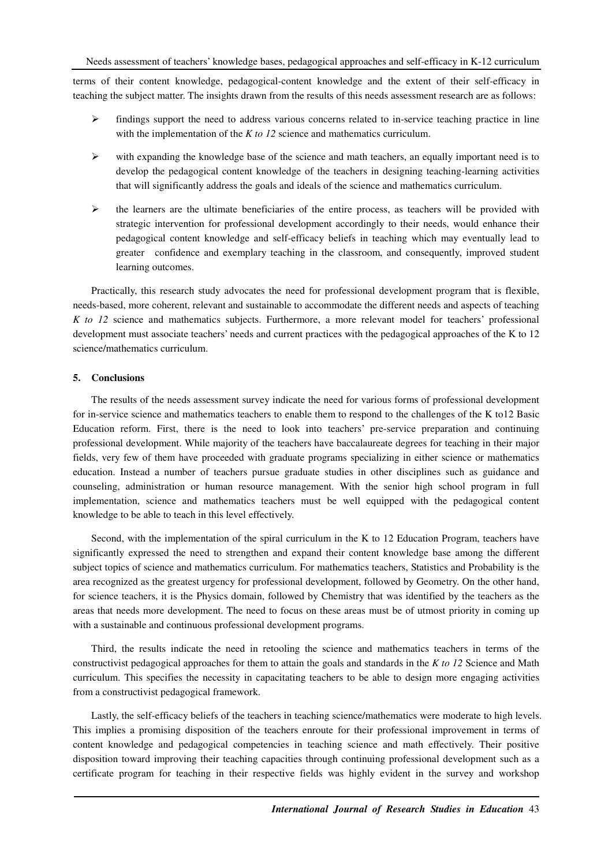terms of their content knowledge, pedagogical-content knowledge and the extent of their self-efficacy in teaching the subject matter. The insights drawn from the results of this needs assessment research are as follows:

- $\triangleright$  findings support the need to address various concerns related to in-service teaching practice in line with the implementation of the *K to 12* science and mathematics curriculum.
- $\triangleright$  with expanding the knowledge base of the science and math teachers, an equally important need is to develop the pedagogical content knowledge of the teachers in designing teaching-learning activities that will significantly address the goals and ideals of the science and mathematics curriculum.
- $\triangleright$  the learners are the ultimate beneficiaries of the entire process, as teachers will be provided with strategic intervention for professional development accordingly to their needs, would enhance their pedagogical content knowledge and self-efficacy beliefs in teaching which may eventually lead to greater confidence and exemplary teaching in the classroom, and consequently, improved student learning outcomes.

Practically, this research study advocates the need for professional development program that is flexible, needs-based, more coherent, relevant and sustainable to accommodate the different needs and aspects of teaching *K to 12* science and mathematics subjects. Furthermore, a more relevant model for teachers' professional development must associate teachers' needs and current practices with the pedagogical approaches of the K to 12 science/mathematics curriculum.

### **5. Conclusions**

The results of the needs assessment survey indicate the need for various forms of professional development for in-service science and mathematics teachers to enable them to respond to the challenges of the K to12 Basic Education reform. First, there is the need to look into teachers' pre-service preparation and continuing professional development. While majority of the teachers have baccalaureate degrees for teaching in their major fields, very few of them have proceeded with graduate programs specializing in either science or mathematics education. Instead a number of teachers pursue graduate studies in other disciplines such as guidance and counseling, administration or human resource management. With the senior high school program in full implementation, science and mathematics teachers must be well equipped with the pedagogical content knowledge to be able to teach in this level effectively.

Second, with the implementation of the spiral curriculum in the K to 12 Education Program, teachers have significantly expressed the need to strengthen and expand their content knowledge base among the different subject topics of science and mathematics curriculum. For mathematics teachers, Statistics and Probability is the area recognized as the greatest urgency for professional development, followed by Geometry. On the other hand, for science teachers, it is the Physics domain, followed by Chemistry that was identified by the teachers as the areas that needs more development. The need to focus on these areas must be of utmost priority in coming up with a sustainable and continuous professional development programs.

Third, the results indicate the need in retooling the science and mathematics teachers in terms of the constructivist pedagogical approaches for them to attain the goals and standards in the *K to 12* Science and Math curriculum. This specifies the necessity in capacitating teachers to be able to design more engaging activities from a constructivist pedagogical framework.

Lastly, the self-efficacy beliefs of the teachers in teaching science/mathematics were moderate to high levels. This implies a promising disposition of the teachers enroute for their professional improvement in terms of content knowledge and pedagogical competencies in teaching science and math effectively. Their positive disposition toward improving their teaching capacities through continuing professional development such as a certificate program for teaching in their respective fields was highly evident in the survey and workshop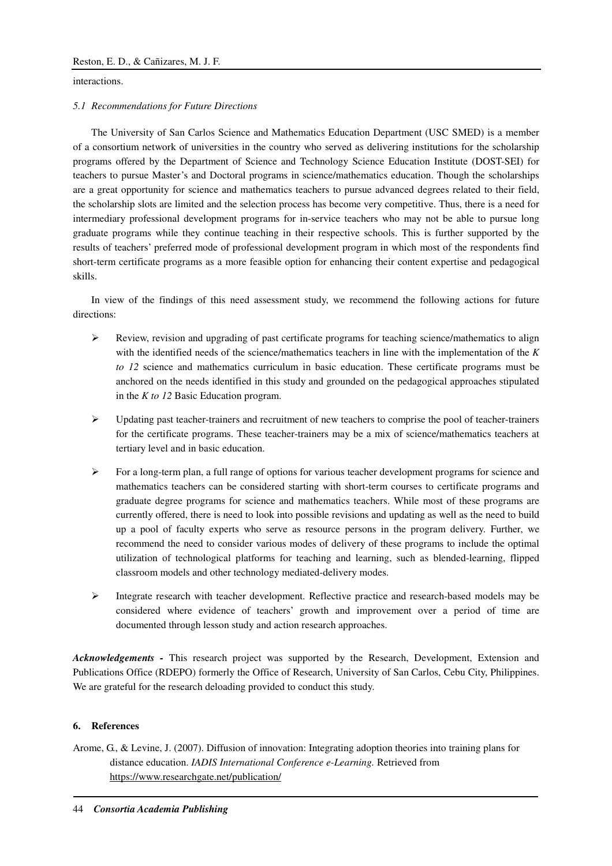interactions.

### *5.1 Recommendations for Future Directions*

The University of San Carlos Science and Mathematics Education Department (USC SMED) is a member of a consortium network of universities in the country who served as delivering institutions for the scholarship programs offered by the Department of Science and Technology Science Education Institute (DOST-SEI) for teachers to pursue Master's and Doctoral programs in science/mathematics education. Though the scholarships are a great opportunity for science and mathematics teachers to pursue advanced degrees related to their field, the scholarship slots are limited and the selection process has become very competitive. Thus, there is a need for intermediary professional development programs for in-service teachers who may not be able to pursue long graduate programs while they continue teaching in their respective schools. This is further supported by the results of teachers' preferred mode of professional development program in which most of the respondents find short-term certificate programs as a more feasible option for enhancing their content expertise and pedagogical skills.

In view of the findings of this need assessment study, we recommend the following actions for future directions:

- $\triangleright$  Review, revision and upgrading of past certificate programs for teaching science/mathematics to align with the identified needs of the science/mathematics teachers in line with the implementation of the *K to 12* science and mathematics curriculum in basic education. These certificate programs must be anchored on the needs identified in this study and grounded on the pedagogical approaches stipulated in the *K to 12* Basic Education program.
- $\triangleright$  Updating past teacher-trainers and recruitment of new teachers to comprise the pool of teacher-trainers for the certificate programs. These teacher-trainers may be a mix of science/mathematics teachers at tertiary level and in basic education.
- $\triangleright$  For a long-term plan, a full range of options for various teacher development programs for science and mathematics teachers can be considered starting with short-term courses to certificate programs and graduate degree programs for science and mathematics teachers. While most of these programs are currently offered, there is need to look into possible revisions and updating as well as the need to build up a pool of faculty experts who serve as resource persons in the program delivery. Further, we recommend the need to consider various modes of delivery of these programs to include the optimal utilization of technological platforms for teaching and learning, such as blended-learning, flipped classroom models and other technology mediated-delivery modes.
- > Integrate research with teacher development. Reflective practice and research-based models may be considered where evidence of teachers' growth and improvement over a period of time are documented through lesson study and action research approaches.

*Acknowledgements -* This research project was supported by the Research, Development, Extension and Publications Office (RDEPO) formerly the Office of Research, University of San Carlos, Cebu City, Philippines. We are grateful for the research deloading provided to conduct this study.

### **6. References**

Arome, G., & Levine, J. (2007). Diffusion of innovation: Integrating adoption theories into training plans for distance education. *IADIS International Conference e-Learning.* Retrieved from https://www.researchgate.net/publication/